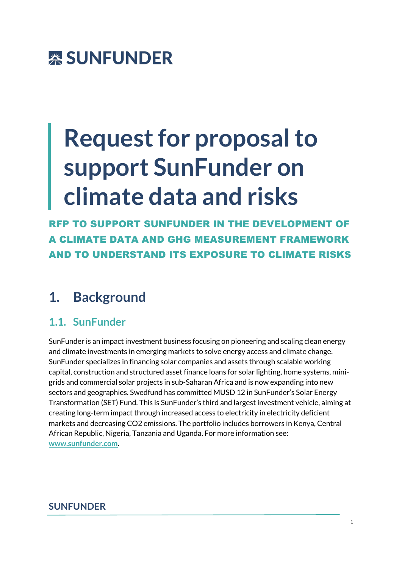

# **Request for proposal to support SunFunder on climate data and risks**

RFP TO SUPPORT SUNFUNDER IN THE DEVELOPMENT OF A CLIMATE DATA AND GHG MEASUREMENT FRAMEWORK AND TO UNDERSTAND ITS EXPOSURE TO CLIMATE RISKS

# **1. Background**

## **1.1. SunFunder**

SunFunder is an impact investment business focusing on pioneering and scaling clean energy and climate investments in emerging markets to solve energy access and climate change. SunFunder specializes in financing solar companies and assets through scalable working capital, construction and structured asset finance loans for solar lighting, home systems, minigrids and commercial solar projects in sub-Saharan Africa and is now expanding into new sectors and geographies. Swedfund has committed MUSD 12 in SunFunder's Solar Energy Transformation (SET) Fund. This is SunFunder's third and largest investment vehicle, aiming at creating long-term impact through increased access to electricity in electricity deficient markets and decreasing CO2 emissions. The portfolio includes borrowers in Kenya, Central African Republic, Nigeria, Tanzania and Uganda. For more information see: **www.sunfunder.com**.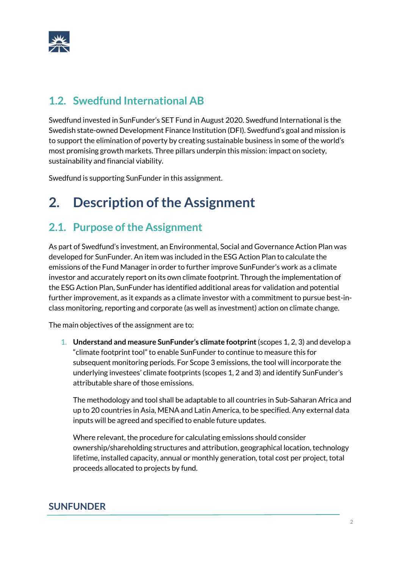

## **1.2. Swedfund International AB**

Swedfund invested in SunFunder's SET Fund in August 2020. Swedfund International is the Swedish state-owned Development Finance Institution (DFI). Swedfund's goal and mission is to support the elimination of poverty by creating sustainable business in some of the world's most promising growth markets. Three pillars underpin this mission: impact on society, sustainability and financial viability.

Swedfund is supporting SunFunder in this assignment.

# **2. Description of the Assignment**

## **2.1. Purpose of the Assignment**

As part of Swedfund's investment, an Environmental, Social and Governance Action Plan was developed for SunFunder. An item was included in the ESG Action Plan to calculate the emissions of the Fund Manager in order to further improve SunFunder's work as a climate investor and accurately report on its own climate footprint. Through the implementation of the ESG Action Plan, SunFunder has identified additional areas for validation and potential further improvement, as it expands as a climate investor with a commitment to pursue best-inclass monitoring, reporting and corporate (as well as investment) action on climate change.

The main objectives of the assignment are to:

1. **Understand and measure SunFunder's climate footprint**(scopes 1, 2, 3) and develop a "climate footprint tool" to enable SunFunder to continue to measure this for subsequent monitoring periods. For Scope 3 emissions, the tool will incorporate the underlying investees' climate footprints (scopes 1, 2 and 3) and identify SunFunder's attributable share of those emissions.

The methodology and tool shall be adaptable to all countries in Sub-Saharan Africa and up to 20 countries in Asia, MENA and Latin America, to be specified. Any external data inputs will be agreed and specified to enable future updates.

Where relevant, the procedure for calculating emissions should consider ownership/shareholding structures and attribution, geographical location, technology lifetime, installed capacity, annual or monthly generation, total cost per project, total proceeds allocated to projects by fund.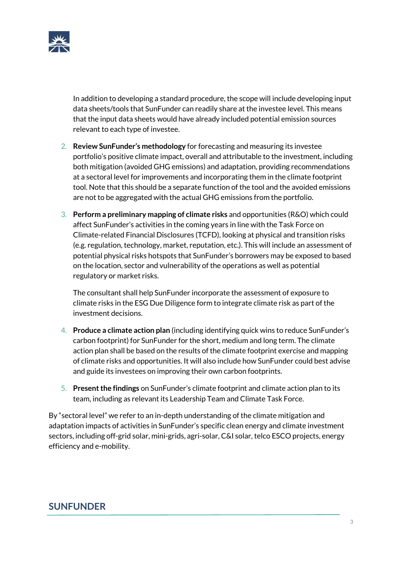

In addition to developing a standard procedure, the scope will include developing input data sheets/tools that SunFunder can readily share at the investee level. This means that the input data sheets would have already included potential emission sources relevant to each type of investee.

- 2. **Review SunFunder's methodology** for forecasting and measuring its investee portfolio's positive climate impact, overall and attributable to the investment, including both mitigation (avoided GHG emissions) and adaptation, providing recommendations at a sectoral level for improvements and incorporating them in the climate footprint tool. Note that this should be a separate function of the tool and the avoided emissions are not to be aggregated with the actual GHG emissions from the portfolio.
- 3. **Perform a preliminary mapping of climate risks** and opportunities (R&O) which could affect SunFunder's activities in the coming years in line with the Task Force on Climate-related Financial Disclosures (TCFD), looking at physical and transition risks (e.g. regulation, technology, market, reputation, etc.). This will include an assessment of potential physical risks hotspots that SunFunder's borrowers may be exposed to based on the location, sector and vulnerability of the operations as well as potential regulatory or market risks.

The consultant shall help SunFunder incorporate the assessment of exposure to climate risks in the ESG Due Diligence form to integrate climate risk as part of the investment decisions.

- 4. **Produce a climate action plan** (including identifying quick wins to reduce SunFunder's carbon footprint) for SunFunder for the short, medium and long term. The climate action plan shall be based on the results of the climate footprint exercise and mapping of climate risks and opportunities. It will also include how SunFunder could best advise and guide its investees on improving their own carbon footprints.
- 5. **Present the findings** on SunFunder's climate footprint and climate action plan to its team, including as relevant its Leadership Team and Climate Task Force.

By "sectoral level" we refer to an in-depth understanding of the climate mitigation and adaptation impacts of activities in SunFunder's specific clean energy and climate investment sectors, including off-grid solar, mini-grids, agri-solar, C&I solar, telco ESCO projects, energy efficiency and e-mobility.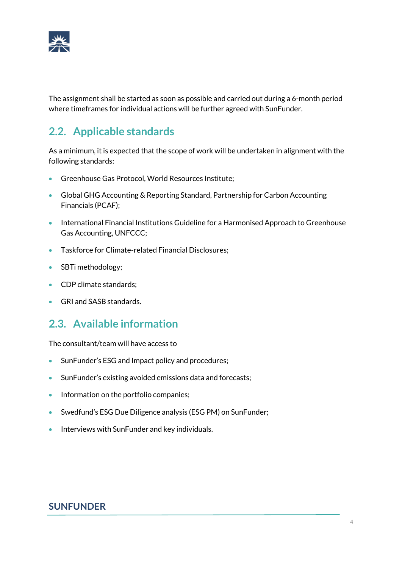

The assignment shall be started as soon as possible and carried out during a 6-month period where timeframes for individual actions will be further agreed with SunFunder.

# **2.2. Applicable standards**

As a minimum, it is expected that the scope of work will be undertaken in alignment with the following standards:

- Greenhouse Gas Protocol, World Resources Institute;
- Global GHG Accounting & Reporting Standard, Partnership for Carbon Accounting Financials (PCAF);
- International Financial Institutions Guideline for a Harmonised Approach to Greenhouse Gas Accounting, UNFCCC;
- Taskforce for Climate-related Financial Disclosures;
- SBTi methodology;
- CDP climate standards;
- GRI and SASB standards.

## **2.3. Available information**

The consultant/team will have access to

- SunFunder's ESG and Impact policy and procedures;
- SunFunder's existing avoided emissions data and forecasts;
- Information on the portfolio companies;
- Swedfund's ESG Due Diligence analysis (ESG PM) on SunFunder;
- Interviews with SunFunder and key individuals.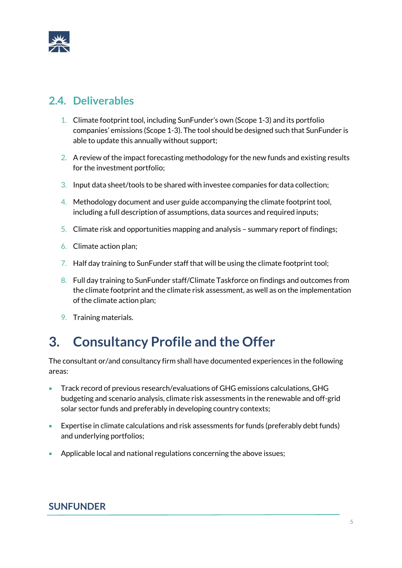

## **2.4. Deliverables**

- 1. Climate footprint tool, including SunFunder's own (Scope 1-3) and its portfolio companies' emissions (Scope 1-3). The tool should be designed such that SunFunder is able to update this annually without support;
- 2. A review of the impact forecasting methodology for the new funds and existing results for the investment portfolio;
- 3. Input data sheet/tools to be shared with investee companies for data collection;
- 4. Methodology document and user guide accompanying the climate footprint tool, including a full description of assumptions, data sources and required inputs;
- 5. Climate risk and opportunities mapping and analysis summary report of findings;
- 6. Climate action plan;
- 7. Half day training to SunFunder staff that will be using the climate footprint tool;
- 8. Full day training to SunFunder staff/Climate Taskforce on findings and outcomes from the climate footprint and the climate risk assessment, as well as on the implementation of the climate action plan;
- 9. Training materials.

# **3. Consultancy Profile and the Offer**

The consultant or/and consultancy firm shall have documented experiences in the following areas:

- Track record of previous research/evaluations of GHG emissions calculations, GHG budgeting and scenario analysis, climate risk assessments in the renewable and off-grid solar sector funds and preferably in developing country contexts;
- Expertise in climate calculations and risk assessments for funds (preferably debt funds) and underlying portfolios;
- Applicable local and national regulations concerning the above issues;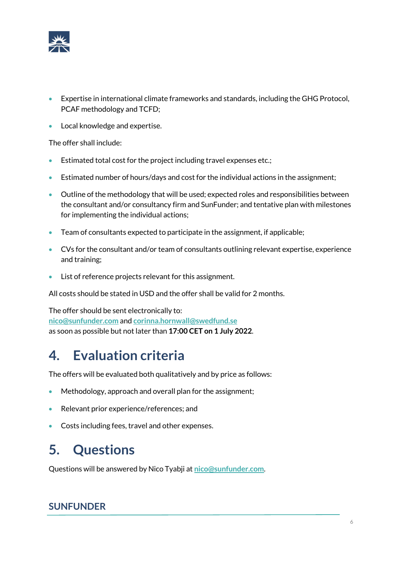

- Expertise in international climate frameworks and standards, including the GHG Protocol, PCAF methodology and TCFD;
- Local knowledge and expertise.

The offer shall include:

- Estimated total cost for the project including travel expenses etc.;
- Estimated number of hours/days and cost for the individual actions in the assignment;
- Outline of the methodology that will be used; expected roles and responsibilities between the consultant and/or consultancy firm and SunFunder; and tentative plan with milestones for implementing the individual actions;
- Team of consultants expected to participate in the assignment, if applicable;
- CVs for the consultant and/or team of consultants outlining relevant expertise, experience and training;
- List of reference projects relevant for this assignment.

All costs should be stated in USD and the offer shall be valid for 2 months.

The offer should be sent electronically to: **nico@sunfunder.com** and **corinna.hornwall@swedfund.se** as soon as possible but not later than **17:00 CET on 1 July 2022**.

# **4. Evaluation criteria**

The offers will be evaluated both qualitatively and by price as follows:

- Methodology, approach and overall plan for the assignment;
- Relevant prior experience/references; and
- Costs including fees, travel and other expenses.

# **5. Questions**

Questions will be answered by Nico Tyabji at **nico@sunfunder.com**.